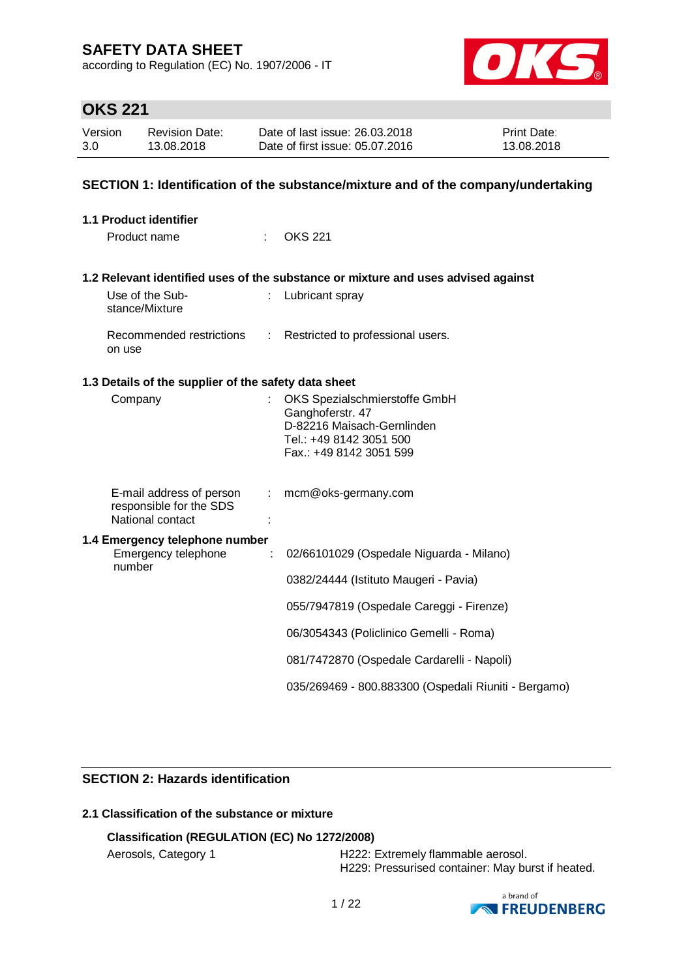according to Regulation (EC) No. 1907/2006 - IT



# **OKS 221**

| Version | <b>Revision Date:</b> | Date of last issue: 26,03,2018  | <b>Print Date:</b> |
|---------|-----------------------|---------------------------------|--------------------|
| 3.0     | 13.08.2018            | Date of first issue: 05.07.2016 | 13.08.2018         |

### **SECTION 1: Identification of the substance/mixture and of the company/undertaking**

| 1.1 Product identifier                                                  |    |                                                                                                                                       |
|-------------------------------------------------------------------------|----|---------------------------------------------------------------------------------------------------------------------------------------|
| Product name                                                            |    | <b>OKS 221</b>                                                                                                                        |
|                                                                         |    | 1.2 Relevant identified uses of the substance or mixture and uses advised against                                                     |
| Use of the Sub-<br>stance/Mixture                                       |    | Lubricant spray                                                                                                                       |
| Recommended restrictions<br>on use                                      |    | : Restricted to professional users.                                                                                                   |
| 1.3 Details of the supplier of the safety data sheet                    |    |                                                                                                                                       |
| Company                                                                 |    | OKS Spezialschmierstoffe GmbH<br>Ganghoferstr. 47<br>D-82216 Maisach-Gernlinden<br>Tel.: +49 8142 3051 500<br>Fax.: +49 8142 3051 599 |
| E-mail address of person<br>responsible for the SDS<br>National contact | ÷. | mcm@oks-germany.com                                                                                                                   |
| 1.4 Emergency telephone number<br>Emergency telephone<br>number         | ÷  | 02/66101029 (Ospedale Niguarda - Milano)                                                                                              |
|                                                                         |    | 0382/24444 (Istituto Maugeri - Pavia)                                                                                                 |
|                                                                         |    | 055/7947819 (Ospedale Careggi - Firenze)                                                                                              |
|                                                                         |    | 06/3054343 (Policlinico Gemelli - Roma)                                                                                               |
|                                                                         |    | 081/7472870 (Ospedale Cardarelli - Napoli)                                                                                            |
|                                                                         |    | 035/269469 - 800.883300 (Ospedali Riuniti - Bergamo)                                                                                  |

### **SECTION 2: Hazards identification**

### **2.1 Classification of the substance or mixture**

### **Classification (REGULATION (EC) No 1272/2008)**

Aerosols, Category 1 **H222: Extremely flammable aerosol.** H229: Pressurised container: May burst if heated.

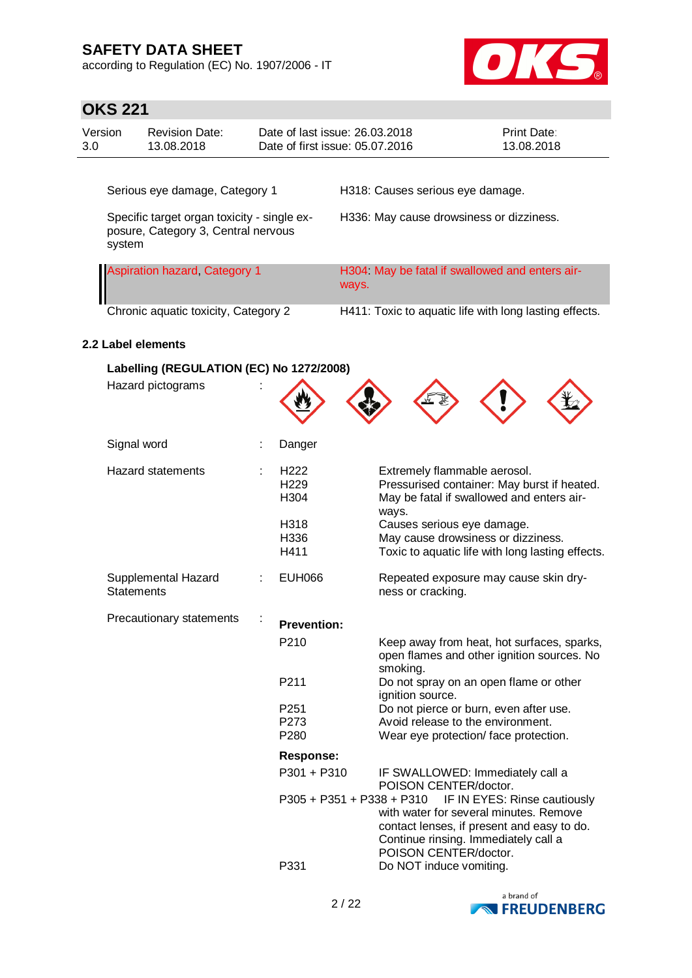according to Regulation (EC) No. 1907/2006 - IT



| <b>OKS 221</b>                                                                               |                   |                                          |             |                                                                   |                                                           |                                                                                                                                                                                    |                              |
|----------------------------------------------------------------------------------------------|-------------------|------------------------------------------|-------------|-------------------------------------------------------------------|-----------------------------------------------------------|------------------------------------------------------------------------------------------------------------------------------------------------------------------------------------|------------------------------|
| Version<br>3.0                                                                               |                   | <b>Revision Date:</b><br>13.08.2018      |             | Date of last issue: 26.03.2018<br>Date of first issue: 05.07.2016 |                                                           |                                                                                                                                                                                    | Print Date:<br>13.08.2018    |
|                                                                                              |                   |                                          |             |                                                                   |                                                           |                                                                                                                                                                                    |                              |
|                                                                                              |                   | Serious eye damage, Category 1           |             |                                                                   |                                                           | H318: Causes serious eye damage.                                                                                                                                                   |                              |
| Specific target organ toxicity - single ex-<br>posure, Category 3, Central nervous<br>system |                   |                                          |             | H336: May cause drowsiness or dizziness.                          |                                                           |                                                                                                                                                                                    |                              |
|                                                                                              |                   | <b>Aspiration hazard, Category 1</b>     |             | H304 May be fatal if swallowed and enters air-<br>ways.           |                                                           |                                                                                                                                                                                    |                              |
|                                                                                              |                   | Chronic aquatic toxicity, Category 2     |             |                                                                   |                                                           | H411: Toxic to aquatic life with long lasting effects.                                                                                                                             |                              |
|                                                                                              |                   | 2.2 Label elements                       |             |                                                                   |                                                           |                                                                                                                                                                                    |                              |
|                                                                                              |                   | Labelling (REGULATION (EC) No 1272/2008) |             |                                                                   |                                                           |                                                                                                                                                                                    |                              |
|                                                                                              |                   | Hazard pictograms                        |             |                                                                   |                                                           |                                                                                                                                                                                    |                              |
|                                                                                              | Signal word       |                                          |             | Danger                                                            |                                                           |                                                                                                                                                                                    |                              |
|                                                                                              |                   | <b>Hazard statements</b>                 |             | H <sub>222</sub><br>H <sub>229</sub><br>H304                      |                                                           | Extremely flammable aerosol.<br>Pressurised container: May burst if heated.<br>May be fatal if swallowed and enters air-<br>ways.                                                  |                              |
|                                                                                              |                   |                                          |             | H318<br>H336<br>H411                                              |                                                           | Causes serious eye damage.<br>May cause drowsiness or dizziness.<br>Toxic to aquatic life with long lasting effects.                                                               |                              |
|                                                                                              | <b>Statements</b> | Supplemental Hazard                      |             | <b>EUH066</b>                                                     |                                                           | Repeated exposure may cause skin dry-<br>ness or cracking.                                                                                                                         |                              |
|                                                                                              |                   | Precautionary statements                 |             | <b>Prevention:</b>                                                |                                                           |                                                                                                                                                                                    |                              |
|                                                                                              |                   |                                          |             | P210                                                              |                                                           | Keep away from heat, hot surfaces, sparks,<br>open flames and other ignition sources. No<br>smoking.                                                                               |                              |
|                                                                                              |                   |                                          |             | P211                                                              |                                                           | Do not spray on an open flame or other<br>ignition source.                                                                                                                         |                              |
|                                                                                              |                   |                                          |             | P251<br>P273<br>P280                                              |                                                           | Do not pierce or burn, even after use.<br>Avoid release to the environment.<br>Wear eye protection/ face protection.                                                               |                              |
|                                                                                              |                   |                                          |             | <b>Response:</b>                                                  |                                                           |                                                                                                                                                                                    |                              |
|                                                                                              |                   |                                          | P301 + P310 |                                                                   | IF SWALLOWED: Immediately call a<br>POISON CENTER/doctor. |                                                                                                                                                                                    |                              |
|                                                                                              |                   |                                          |             |                                                                   |                                                           | P305 + P351 + P338 + P310<br>with water for several minutes. Remove<br>contact lenses, if present and easy to do.<br>Continue rinsing. Immediately call a<br>POISON CENTER/doctor. | IF IN EYES: Rinse cautiously |
|                                                                                              |                   |                                          |             | P331                                                              |                                                           | Do NOT induce vomiting.                                                                                                                                                            |                              |

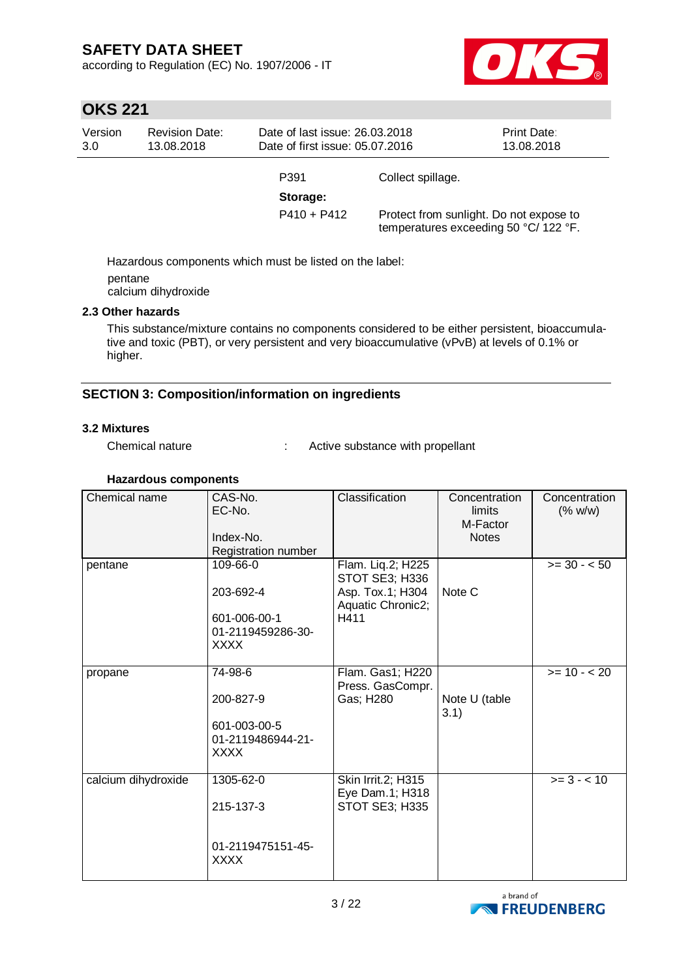according to Regulation (EC) No. 1907/2006 - IT



# **OKS 221**

| Version<br>3.0 | <b>Revision Date:</b><br>13.08.2018 | Date of last issue: 26.03.2018<br>Date of first issue: 05.07.2016 |                   | <b>Print Date:</b><br>13.08.2018                                                 |
|----------------|-------------------------------------|-------------------------------------------------------------------|-------------------|----------------------------------------------------------------------------------|
|                |                                     | P391<br>Storage:                                                  | Collect spillage. |                                                                                  |
|                |                                     | $P410 + P412$                                                     |                   | Protect from sunlight. Do not expose to<br>temperatures exceeding 50 °C/ 122 °F. |

Hazardous components which must be listed on the label: pentane calcium dihydroxide

### **2.3 Other hazards**

This substance/mixture contains no components considered to be either persistent, bioaccumulative and toxic (PBT), or very persistent and very bioaccumulative (vPvB) at levels of 0.1% or higher.

### **SECTION 3: Composition/information on ingredients**

### **3.2 Mixtures**

Chemical nature : Active substance with propellant

### **Hazardous components**

| Chemical name       | CAS-No.<br>EC-No.<br>Index-No.<br>Registration number                     | Classification                                                                       | Concentration<br>limits<br>M-Factor<br><b>Notes</b> | Concentration<br>(% w/w) |
|---------------------|---------------------------------------------------------------------------|--------------------------------------------------------------------------------------|-----------------------------------------------------|--------------------------|
| pentane             | 109-66-0<br>203-692-4<br>601-006-00-1<br>01-2119459286-30-<br><b>XXXX</b> | Flam. Liq.2; H225<br>STOT SE3; H336<br>Asp. Tox.1; H304<br>Aquatic Chronic2;<br>H411 | Note C                                              | $>= 30 - 50$             |
| propane             | 74-98-6<br>200-827-9<br>601-003-00-5<br>01-2119486944-21-<br><b>XXXX</b>  | Flam. Gas1; H220<br>Press. GasCompr.<br>Gas; H280                                    | Note U (table<br>3.1)                               | $>= 10 - 20$             |
| calcium dihydroxide | 1305-62-0<br>215-137-3<br>01-2119475151-45-<br><b>XXXX</b>                | Skin Irrit.2; H315<br>Eye Dam.1; H318<br>STOT SE3; H335                              |                                                     | $>= 3 - 10$              |

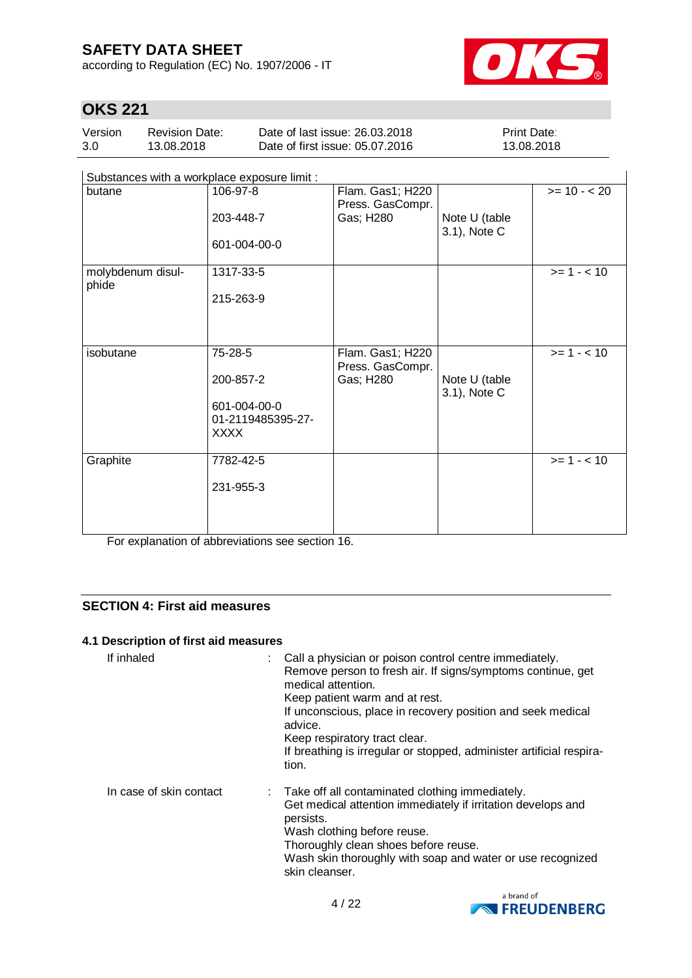according to Regulation (EC) No. 1907/2006 - IT



 $\overline{\phantom{a}}$ 

# **OKS 221**

| Version | <b>Revision Date:</b> | Date of last issue: 26,03,2018  | <b>Print Date:</b> |
|---------|-----------------------|---------------------------------|--------------------|
| 3.0     | 13.08.2018            | Date of first issue: 05.07.2016 | 13.08.2018         |

Substances with a workplace exposure limit :

| $\frac{1}{2}$              |                   |                                      |                               |               |
|----------------------------|-------------------|--------------------------------------|-------------------------------|---------------|
| butane                     | 106-97-8          | Flam. Gas1; H220<br>Press. GasCompr. |                               | $>= 10 - 20$  |
|                            | 203-448-7         | Gas; H280                            | Note U (table<br>3.1), Note C |               |
|                            | 601-004-00-0      |                                      |                               |               |
| molybdenum disul-<br>phide | 1317-33-5         |                                      |                               | $>= 1 - 10$   |
|                            | 215-263-9         |                                      |                               |               |
|                            |                   |                                      |                               |               |
| isobutane                  | 75-28-5           | Flam. Gas1; H220<br>Press. GasCompr. |                               | $>= 1 - 10$   |
|                            | 200-857-2         | Gas; H280                            | Note U (table<br>3.1), Note C |               |
|                            | 601-004-00-0      |                                      |                               |               |
|                            | 01-2119485395-27- |                                      |                               |               |
|                            | <b>XXXX</b>       |                                      |                               |               |
| Graphite                   | 7782-42-5         |                                      |                               | $>= 1 - < 10$ |
|                            | 231-955-3         |                                      |                               |               |
|                            |                   |                                      |                               |               |
|                            |                   |                                      |                               |               |

For explanation of abbreviations see section 16.

### **SECTION 4: First aid measures**

### **4.1 Description of first aid measures**

| If inhaled              | : Call a physician or poison control centre immediately.<br>Remove person to fresh air. If signs/symptoms continue, get<br>medical attention.<br>Keep patient warm and at rest.<br>If unconscious, place in recovery position and seek medical<br>advice.<br>Keep respiratory tract clear.<br>If breathing is irregular or stopped, administer artificial respira-<br>tion. |
|-------------------------|-----------------------------------------------------------------------------------------------------------------------------------------------------------------------------------------------------------------------------------------------------------------------------------------------------------------------------------------------------------------------------|
| In case of skin contact | : Take off all contaminated clothing immediately.<br>Get medical attention immediately if irritation develops and<br>persists.<br>Wash clothing before reuse.<br>Thoroughly clean shoes before reuse.<br>Wash skin thoroughly with soap and water or use recognized<br>skin cleanser.                                                                                       |

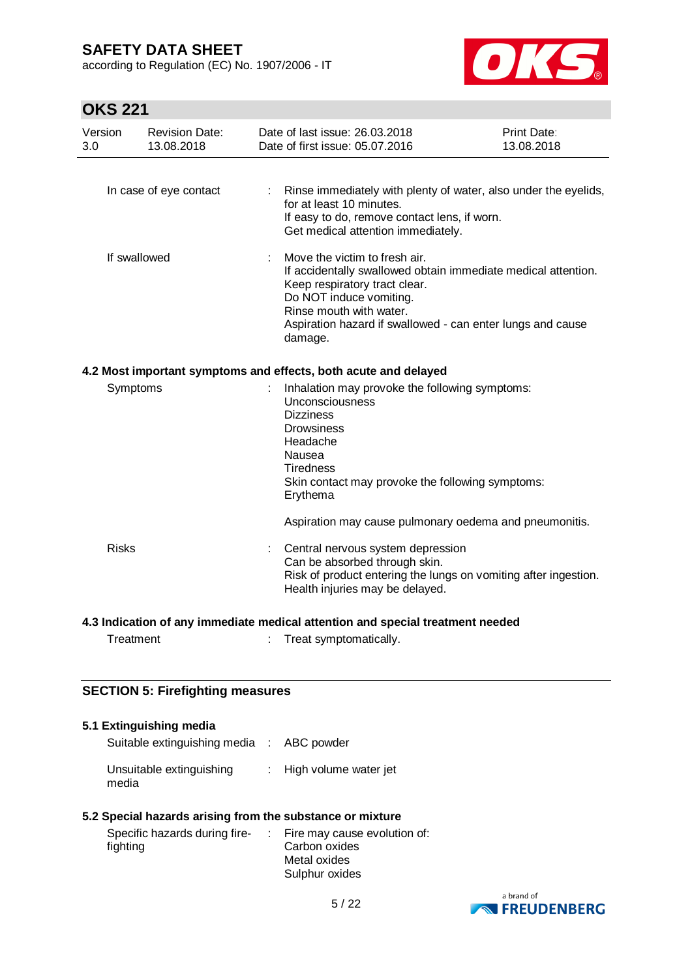according to Regulation (EC) No. 1907/2006 - IT



# **OKS 221**

| Version<br>3.0 | <b>Revision Date:</b><br>13.08.2018 | Date of last issue: 26.03.2018<br>Date of first issue: 05.07.2016                                                                                                                                                                                              | <b>Print Date:</b><br>13.08.2018 |
|----------------|-------------------------------------|----------------------------------------------------------------------------------------------------------------------------------------------------------------------------------------------------------------------------------------------------------------|----------------------------------|
|                | In case of eye contact              | : Rinse immediately with plenty of water, also under the eyelids,<br>for at least 10 minutes.<br>If easy to do, remove contact lens, if worn.<br>Get medical attention immediately.                                                                            |                                  |
|                | If swallowed                        | Move the victim to fresh air.<br>If accidentally swallowed obtain immediate medical attention.<br>Keep respiratory tract clear.<br>Do NOT induce vomiting.<br>Rinse mouth with water.<br>Aspiration hazard if swallowed - can enter lungs and cause<br>damage. |                                  |
|                |                                     | 4.2 Most important symptoms and effects, both acute and delayed                                                                                                                                                                                                |                                  |
| Symptoms       |                                     | Inhalation may provoke the following symptoms:<br>Unconsciousness<br><b>Dizziness</b><br><b>Drowsiness</b><br>Headache<br>Nausea<br><b>Tiredness</b><br>Skin contact may provoke the following symptoms:<br>Erythema                                           |                                  |
|                |                                     | Aspiration may cause pulmonary oedema and pneumonitis.                                                                                                                                                                                                         |                                  |
| <b>Risks</b>   |                                     | Central nervous system depression<br>Can be absorbed through skin.<br>Risk of product entering the lungs on vomiting after ingestion.<br>Health injuries may be delayed.                                                                                       |                                  |
|                |                                     | hahaan tramteart leigans hne noitratte legibam ateibammi yne to noitegibal 2 h                                                                                                                                                                                 |                                  |

### **4.3 Indication of any immediate medical attention and special treatment needed**

| Treatment |  | Treat symptomatically. |
|-----------|--|------------------------|
|-----------|--|------------------------|

### **SECTION 5: Firefighting measures**

#### **5.1 Extinguishing media**

| Suitable extinguishing media : ABC powder |                                    |
|-------------------------------------------|------------------------------------|
| Unsuitable extinguishing<br>media         | $\therefore$ High volume water jet |

#### **5.2 Special hazards arising from the substance or mixture**

| Specific hazards during fire- | : Fire may cause evolution of: |
|-------------------------------|--------------------------------|
| fighting                      | Carbon oxides                  |
|                               | Metal oxides                   |
|                               | Sulphur oxides                 |

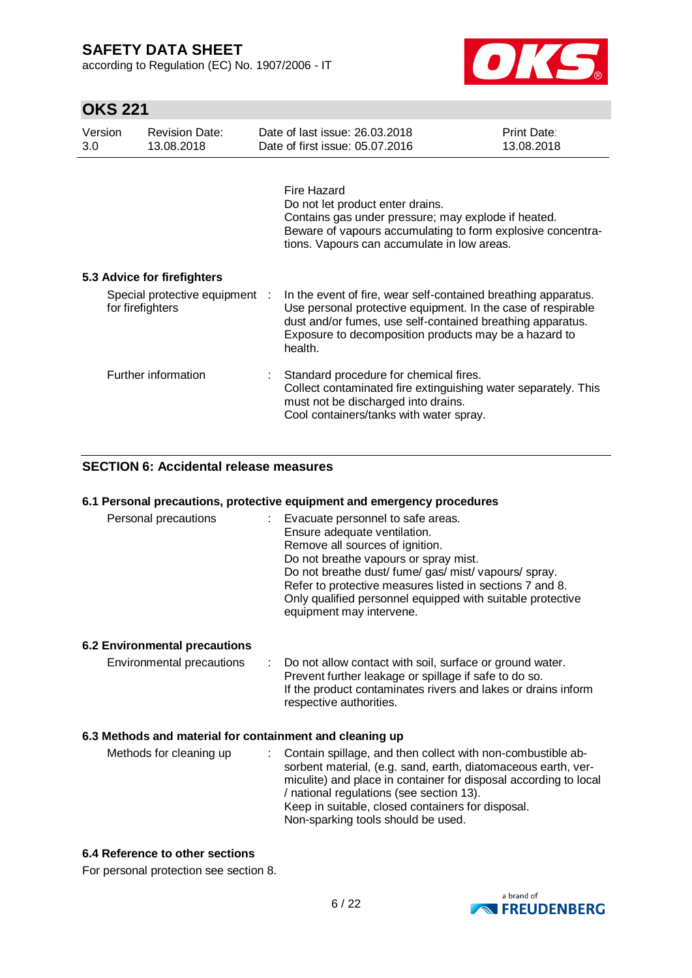according to Regulation (EC) No. 1907/2006 - IT



# **OKS 221**

| Version<br>3.0 | <b>Revision Date:</b><br>13.08.2018                | Date of last issue: 26.03.2018<br>Date of first issue: 05.07.2016                                                                                                                                                                                                | Print Date:<br>13.08.2018 |
|----------------|----------------------------------------------------|------------------------------------------------------------------------------------------------------------------------------------------------------------------------------------------------------------------------------------------------------------------|---------------------------|
|                |                                                    | Fire Hazard<br>Do not let product enter drains.<br>Contains gas under pressure; may explode if heated.<br>Beware of vapours accumulating to form explosive concentra-<br>tions. Vapours can accumulate in low areas.                                             |                           |
|                | 5.3 Advice for firefighters                        |                                                                                                                                                                                                                                                                  |                           |
|                | Special protective equipment :<br>for firefighters | In the event of fire, wear self-contained breathing apparatus.<br>Use personal protective equipment. In the case of respirable<br>dust and/or fumes, use self-contained breathing apparatus.<br>Exposure to decomposition products may be a hazard to<br>health. |                           |
|                | Further information                                | Standard procedure for chemical fires.<br>Collect contaminated fire extinguishing water separately. This<br>must not be discharged into drains.<br>Cool containers/tanks with water spray.                                                                       |                           |

### **SECTION 6: Accidental release measures**

#### **6.1 Personal precautions, protective equipment and emergency procedures**

| Personal precautions | Evacuate personnel to safe areas.<br>Ensure adequate ventilation.<br>Remove all sources of ignition.<br>Do not breathe vapours or spray mist.<br>Do not breathe dust/fume/gas/mist/vapours/spray.<br>Refer to protective measures listed in sections 7 and 8. |
|----------------------|---------------------------------------------------------------------------------------------------------------------------------------------------------------------------------------------------------------------------------------------------------------|
|                      | Only qualified personnel equipped with suitable protective                                                                                                                                                                                                    |
|                      | equipment may intervene.                                                                                                                                                                                                                                      |

### **6.2 Environmental precautions**

Environmental precautions : Do not allow contact with soil, surface or ground water. Prevent further leakage or spillage if safe to do so. If the product contaminates rivers and lakes or drains inform respective authorities.

#### **6.3 Methods and material for containment and cleaning up**

| Methods for cleaning up |  | sorbent material, (e.g. sand, earth, diatomaceous earth, ver-<br>miculite) and place in container for disposal according to local<br>/ national regulations (see section 13).<br>Keep in suitable, closed containers for disposal.<br>Non-sparking tools should be used. |
|-------------------------|--|--------------------------------------------------------------------------------------------------------------------------------------------------------------------------------------------------------------------------------------------------------------------------|
|-------------------------|--|--------------------------------------------------------------------------------------------------------------------------------------------------------------------------------------------------------------------------------------------------------------------------|

### **6.4 Reference to other sections**

For personal protection see section 8.

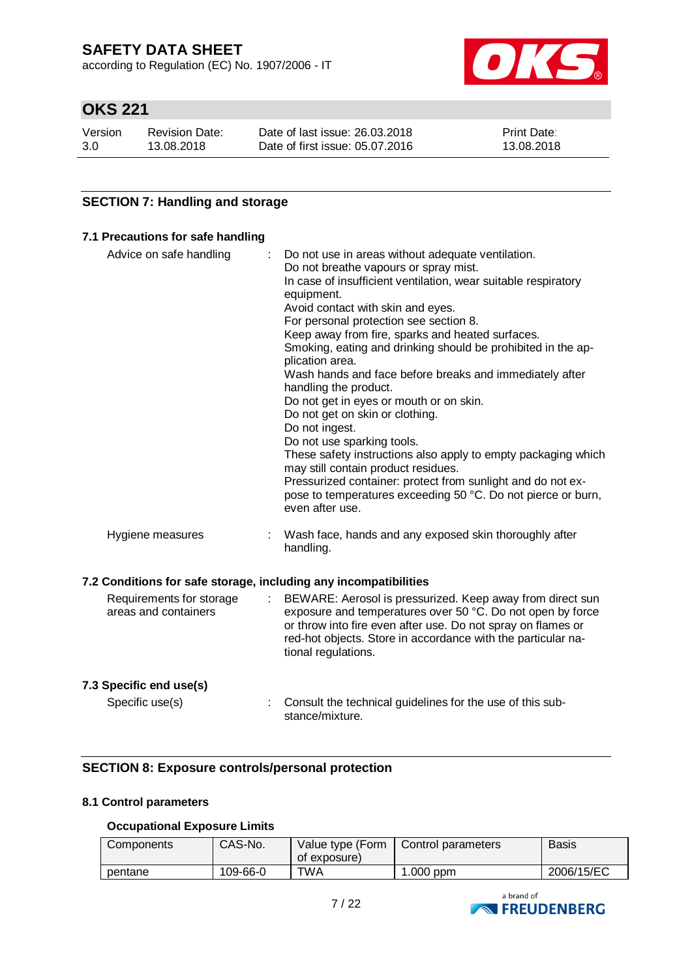according to Regulation (EC) No. 1907/2006 - IT



# **OKS 221**

| Version | <b>Revision Date:</b> | Date of last issue: 26.03.2018  | <b>Print Date:</b> |
|---------|-----------------------|---------------------------------|--------------------|
| 3.0     | 13.08.2018            | Date of first issue: 05.07.2016 | 13.08.2018         |

### **SECTION 7: Handling and storage**

# **7.1 Precautions for safe handling**

| Advice on safe handling                                                                                              | Do not use in areas without adequate ventilation.<br>Do not breathe vapours or spray mist.<br>In case of insufficient ventilation, wear suitable respiratory<br>equipment.<br>Avoid contact with skin and eyes.<br>For personal protection see section 8.<br>Keep away from fire, sparks and heated surfaces.<br>Smoking, eating and drinking should be prohibited in the ap-<br>plication area.<br>Wash hands and face before breaks and immediately after<br>handling the product.<br>Do not get in eyes or mouth or on skin.<br>Do not get on skin or clothing.<br>Do not ingest.<br>Do not use sparking tools.<br>These safety instructions also apply to empty packaging which<br>may still contain product residues.<br>Pressurized container: protect from sunlight and do not ex-<br>pose to temperatures exceeding 50 °C. Do not pierce or burn,<br>even after use. |
|----------------------------------------------------------------------------------------------------------------------|------------------------------------------------------------------------------------------------------------------------------------------------------------------------------------------------------------------------------------------------------------------------------------------------------------------------------------------------------------------------------------------------------------------------------------------------------------------------------------------------------------------------------------------------------------------------------------------------------------------------------------------------------------------------------------------------------------------------------------------------------------------------------------------------------------------------------------------------------------------------------|
| Hygiene measures                                                                                                     | Wash face, hands and any exposed skin thoroughly after<br>handling.                                                                                                                                                                                                                                                                                                                                                                                                                                                                                                                                                                                                                                                                                                                                                                                                          |
| 7.2 Conditions for safe storage, including any incompatibilities<br>Requirements for storage<br>areas and containers | BEWARE: Aerosol is pressurized. Keep away from direct sun<br>exposure and temperatures over 50 °C. Do not open by force<br>or throw into fire even after use. Do not spray on flames or<br>red-hot objects. Store in accordance with the particular na-<br>tional regulations.                                                                                                                                                                                                                                                                                                                                                                                                                                                                                                                                                                                               |
| 7.3 Specific end use(s)                                                                                              |                                                                                                                                                                                                                                                                                                                                                                                                                                                                                                                                                                                                                                                                                                                                                                                                                                                                              |

Specific use(s) : Consult the technical guidelines for the use of this substance/mixture.

### **SECTION 8: Exposure controls/personal protection**

### **8.1 Control parameters**

### **Occupational Exposure Limits**

| CAS-No.<br>Components<br>Value type (Form<br>of exposure) |          | Control parameters | <b>Basis</b> |            |
|-----------------------------------------------------------|----------|--------------------|--------------|------------|
| pentane                                                   | 109-66-0 | TWA                | .000 ppm     | 2006/15/EC |

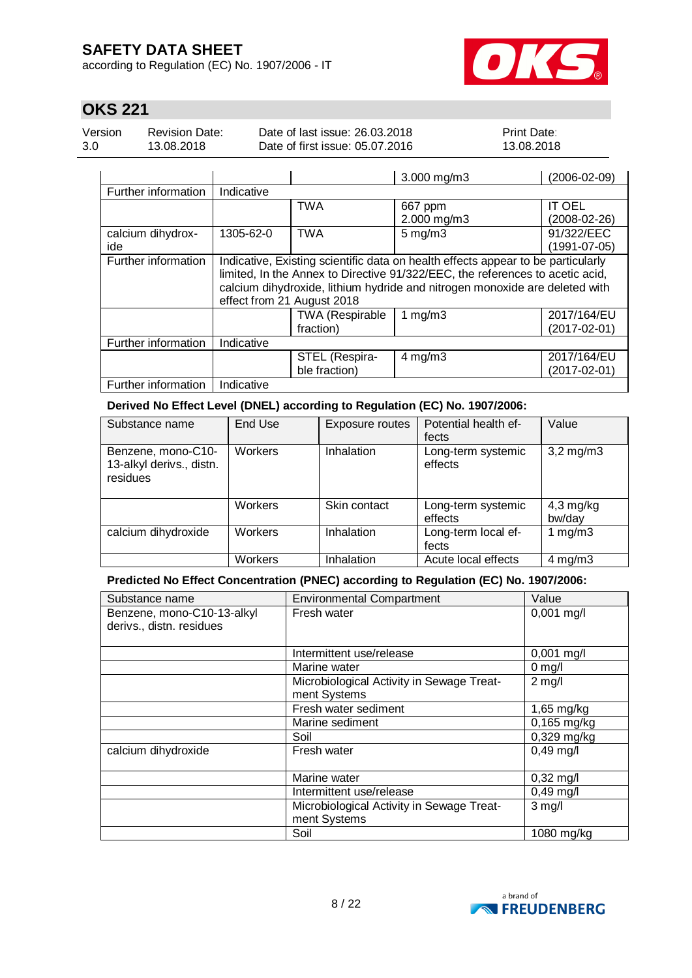according to Regulation (EC) No. 1907/2006 - IT



# **OKS 221**

Version 3.0 Revision Date: 13.08.2018

Date of last issue: 26.03.2018 Date of first issue: 05.07.2016 Print Date: 13.08.2018

|                     |                                                                                  |                                                                             | 3.000 mg/m3        | $(2006 - 02 - 09)$ |  |  |  |
|---------------------|----------------------------------------------------------------------------------|-----------------------------------------------------------------------------|--------------------|--------------------|--|--|--|
| Further information | Indicative                                                                       |                                                                             |                    |                    |  |  |  |
|                     |                                                                                  | TWA                                                                         | 667 ppm            | <b>IT OEL</b>      |  |  |  |
|                     |                                                                                  |                                                                             | 2.000 mg/m3        | $(2008-02-26)$     |  |  |  |
| calcium dihydrox-   | 1305-62-0                                                                        | <b>TWA</b>                                                                  | $5 \text{ mg/m}$ 3 | 91/322/EEC         |  |  |  |
| ide                 |                                                                                  |                                                                             |                    | $(1991 - 07 - 05)$ |  |  |  |
| Further information | Indicative, Existing scientific data on health effects appear to be particularly |                                                                             |                    |                    |  |  |  |
|                     | limited, In the Annex to Directive 91/322/EEC, the references to acetic acid,    |                                                                             |                    |                    |  |  |  |
|                     |                                                                                  | calcium dihydroxide, lithium hydride and nitrogen monoxide are deleted with |                    |                    |  |  |  |
|                     |                                                                                  | effect from 21 August 2018                                                  |                    |                    |  |  |  |
|                     |                                                                                  | TWA (Respirable                                                             | 1 $mg/m3$          | 2017/164/EU        |  |  |  |
|                     |                                                                                  | fraction)                                                                   |                    | $(2017 - 02 - 01)$ |  |  |  |
| Further information | Indicative                                                                       |                                                                             |                    |                    |  |  |  |
|                     |                                                                                  | STEL (Respira-                                                              | $4$ mg/m $3$       | 2017/164/EU        |  |  |  |
|                     |                                                                                  | ble fraction)                                                               |                    | $(2017 - 02 - 01)$ |  |  |  |
| Further information | Indicative                                                                       |                                                                             |                    |                    |  |  |  |

**Derived No Effect Level (DNEL) according to Regulation (EC) No. 1907/2006:**

| Substance name                                             | End Use | Exposure routes | Potential health ef-<br>fects | Value                 |
|------------------------------------------------------------|---------|-----------------|-------------------------------|-----------------------|
| Benzene, mono-C10-<br>13-alkyl derivs., distn.<br>residues | Workers | Inhalation      | Long-term systemic<br>effects | $3,2$ mg/m $3$        |
|                                                            | Workers | Skin contact    | Long-term systemic<br>effects | $4,3$ mg/kg<br>bw/day |
| calcium dihydroxide                                        | Workers | Inhalation      | Long-term local ef-<br>fects  | 1 mg/m $3$            |
|                                                            | Workers | Inhalation      | Acute local effects           | $4$ mg/m $3$          |

**Predicted No Effect Concentration (PNEC) according to Regulation (EC) No. 1907/2006:**

| Substance name                                         | <b>Environmental Compartment</b>                          | Value               |
|--------------------------------------------------------|-----------------------------------------------------------|---------------------|
| Benzene, mono-C10-13-alkyl<br>derivs., distn. residues | Fresh water                                               | $0,001$ mg/l        |
|                                                        | Intermittent use/release                                  | $0,001$ mg/l        |
|                                                        | Marine water                                              | $0$ mg/l            |
|                                                        | Microbiological Activity in Sewage Treat-<br>ment Systems | $2$ mg/l            |
|                                                        | Fresh water sediment                                      | 1,65 mg/kg          |
|                                                        | Marine sediment                                           | 0,165 mg/kg         |
|                                                        | Soil                                                      | $0,329$ mg/kg       |
| calcium dihydroxide                                    | Fresh water                                               | $0,49$ mg/l         |
|                                                        | Marine water                                              | $0,32 \text{ mg/l}$ |
|                                                        | Intermittent use/release                                  | $0,49$ mg/l         |
|                                                        | Microbiological Activity in Sewage Treat-<br>ment Systems | $3$ mg/l            |
|                                                        | Soil                                                      | 1080 mg/kg          |

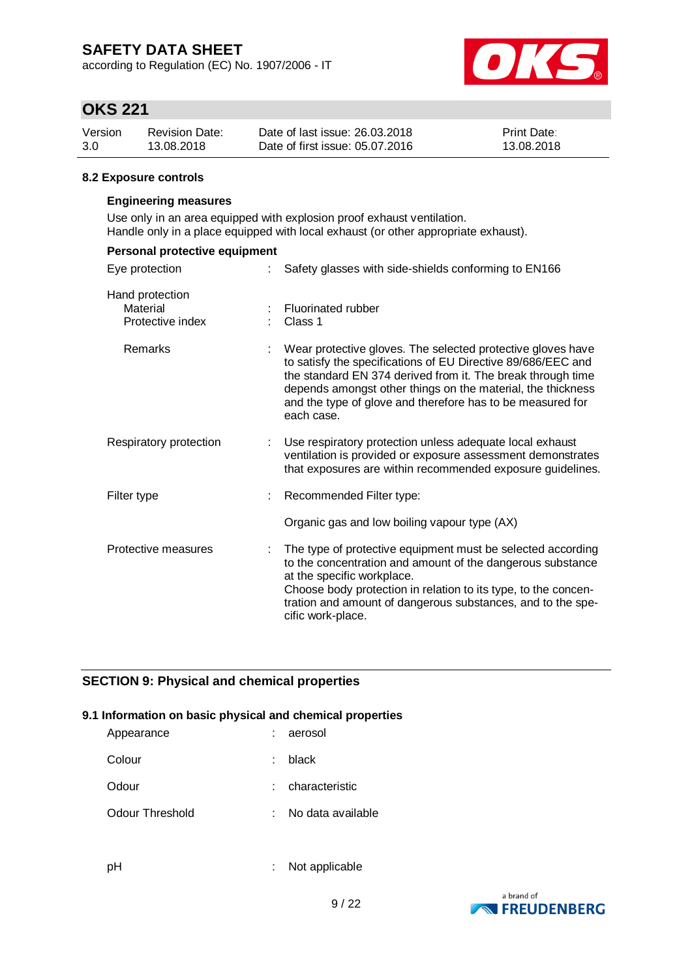according to Regulation (EC) No. 1907/2006 - IT



# **OKS 221**

| Version | <b>Revision Date:</b> | Date of last issue: 26.03.2018  | <b>Print Date:</b> |
|---------|-----------------------|---------------------------------|--------------------|
| 3.0     | 13.08.2018            | Date of first issue: 05.07.2016 | 13.08.2018         |

#### **8.2 Exposure controls**

### **Engineering measures**

Use only in an area equipped with explosion proof exhaust ventilation. Handle only in a place equipped with local exhaust (or other appropriate exhaust).

| Personal protective equipment                   |                                                                                                                                                                                                                                                                                                                                       |
|-------------------------------------------------|---------------------------------------------------------------------------------------------------------------------------------------------------------------------------------------------------------------------------------------------------------------------------------------------------------------------------------------|
| Eye protection                                  | Safety glasses with side-shields conforming to EN166                                                                                                                                                                                                                                                                                  |
| Hand protection<br>Material<br>Protective index | Fluorinated rubber<br>Class 1                                                                                                                                                                                                                                                                                                         |
| Remarks                                         | Wear protective gloves. The selected protective gloves have<br>to satisfy the specifications of EU Directive 89/686/EEC and<br>the standard EN 374 derived from it. The break through time<br>depends amongst other things on the material, the thickness<br>and the type of glove and therefore has to be measured for<br>each case. |
| Respiratory protection                          | Use respiratory protection unless adequate local exhaust<br>ventilation is provided or exposure assessment demonstrates<br>that exposures are within recommended exposure guidelines.                                                                                                                                                 |
| Filter type                                     | Recommended Filter type:                                                                                                                                                                                                                                                                                                              |
|                                                 | Organic gas and low boiling vapour type (AX)                                                                                                                                                                                                                                                                                          |
| Protective measures                             | The type of protective equipment must be selected according<br>to the concentration and amount of the dangerous substance<br>at the specific workplace.<br>Choose body protection in relation to its type, to the concen-<br>tration and amount of dangerous substances, and to the spe-<br>cific work-place.                         |

### **SECTION 9: Physical and chemical properties**

#### **9.1 Information on basic physical and chemical properties**

| Appearance      |    | : aerosol         |
|-----------------|----|-------------------|
| Colour          | ÷. | black             |
| Odour           |    | : characteristic  |
| Odour Threshold |    | No data available |

- 
- pH : Not applicable

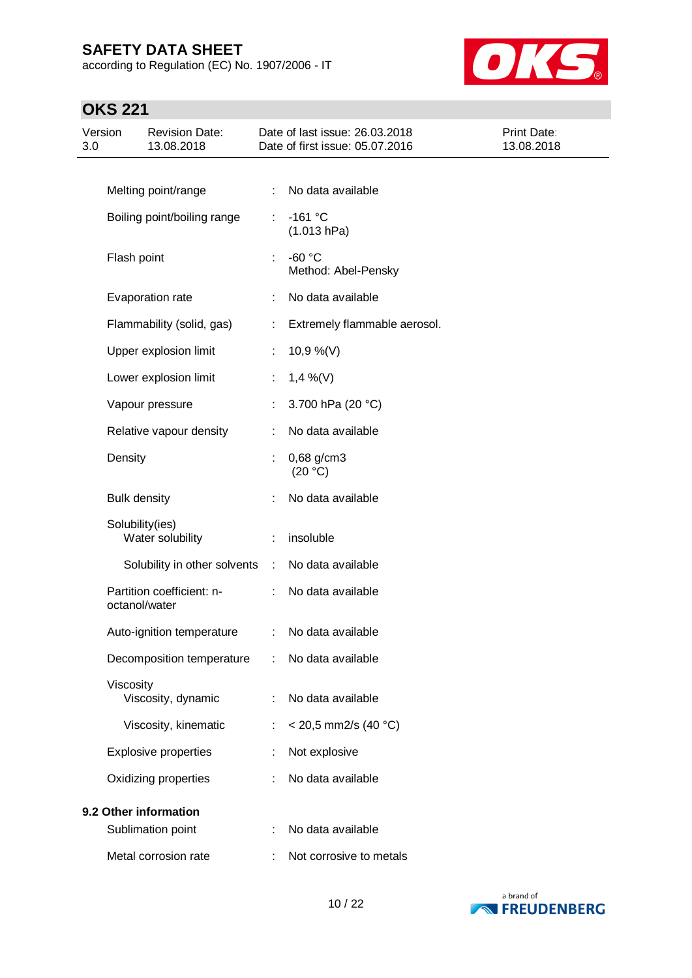according to Regulation (EC) No. 1907/2006 - IT



# **OKS 221**

| Version<br>3.0 |                     | <b>Revision Date:</b><br>13.08.2018 |           | Date of last issue: 26.03.2018<br>Date of first issue: 05.07.2016 | Print Date:<br>13.08.2018 |
|----------------|---------------------|-------------------------------------|-----------|-------------------------------------------------------------------|---------------------------|
|                |                     |                                     |           |                                                                   |                           |
|                |                     | Melting point/range                 | ÷         | No data available                                                 |                           |
|                |                     | Boiling point/boiling range         | ÷         | $-161$ °C<br>(1.013 hPa)                                          |                           |
|                | Flash point         |                                     | ÷         | $-60 °C$<br>Method: Abel-Pensky                                   |                           |
|                |                     | Evaporation rate                    | ÷         | No data available                                                 |                           |
|                |                     | Flammability (solid, gas)           | ÷         | Extremely flammable aerosol.                                      |                           |
|                |                     | Upper explosion limit               | ÷         | 10,9 %(V)                                                         |                           |
|                |                     | Lower explosion limit               | ÷         | $1,4\%$ (V)                                                       |                           |
|                |                     | Vapour pressure                     | ÷         | 3.700 hPa (20 °C)                                                 |                           |
|                |                     | Relative vapour density             | ÷         | No data available                                                 |                           |
|                | Density             |                                     | ÷         | $0,68$ g/cm3<br>(20 °C)                                           |                           |
|                | <b>Bulk density</b> |                                     |           | No data available                                                 |                           |
|                | Solubility(ies)     | Water solubility                    |           | insoluble                                                         |                           |
|                |                     | Solubility in other solvents        | $\sim 10$ | No data available                                                 |                           |
|                | octanol/water       | Partition coefficient: n-           | ÷.        | No data available                                                 |                           |
|                |                     | Auto-ignition temperature           | ÷         | No data available                                                 |                           |
|                |                     | Decomposition temperature           |           | No data available                                                 |                           |
|                | Viscosity           | Viscosity, dynamic                  |           | No data available                                                 |                           |
|                |                     | Viscosity, kinematic                | t         | $<$ 20,5 mm2/s (40 °C)                                            |                           |
|                |                     | <b>Explosive properties</b>         |           | Not explosive                                                     |                           |
|                |                     | Oxidizing properties                |           | No data available                                                 |                           |
|                |                     | 9.2 Other information               |           |                                                                   |                           |
|                |                     | Sublimation point                   | t         | No data available                                                 |                           |
|                |                     | Metal corrosion rate                |           | Not corrosive to metals                                           |                           |

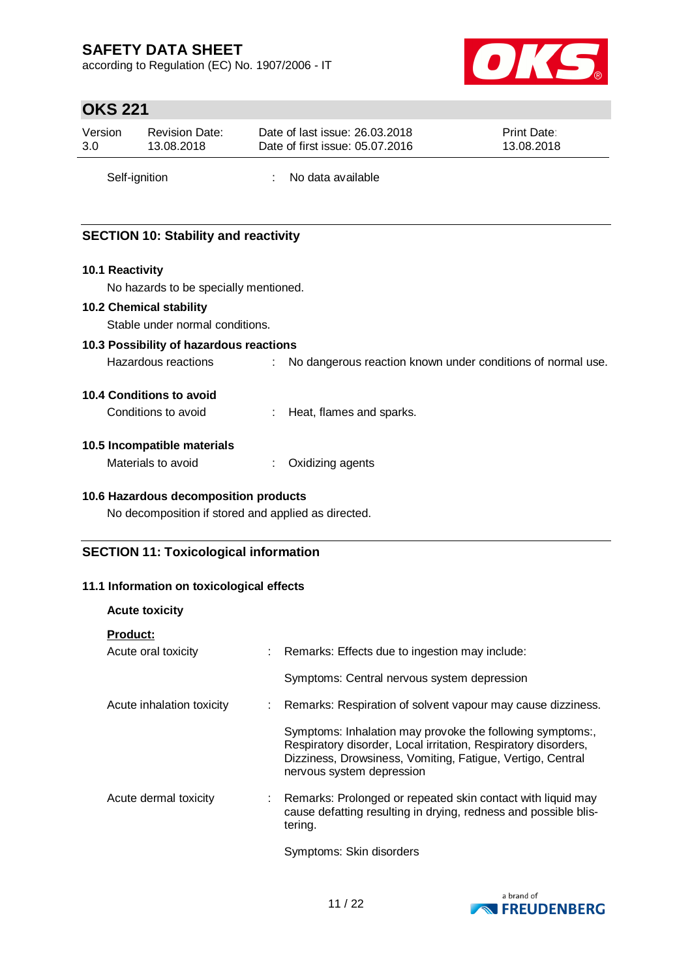according to Regulation (EC) No. 1907/2006 - IT



# **OKS 221**

| Version       | <b>Revision Date:</b> | Date of last issue: 26.03.2018  | <b>Print Date:</b> |  |
|---------------|-----------------------|---------------------------------|--------------------|--|
| 3.0           | 13.08.2018            | Date of first issue: 05.07.2016 | 13.08.2018         |  |
| Self-ignition |                       | No data available               |                    |  |

### **SECTION 10: Stability and reactivity**

#### **10.1 Reactivity**

No hazards to be specially mentioned.

#### **10.2 Chemical stability**

Stable under normal conditions.

### **10.3 Possibility of hazardous reactions**

Hazardous reactions : No dangerous reaction known under conditions of normal use.

### **10.4 Conditions to avoid**

#### **10.5 Incompatible materials**

Materials to avoid : Oxidizing agents

### **10.6 Hazardous decomposition products**

No decomposition if stored and applied as directed.

### **SECTION 11: Toxicological information**

### **11.1 Information on toxicological effects**

| <b>Acute toxicity</b>                  |                                                                                                                                                                                                                        |
|----------------------------------------|------------------------------------------------------------------------------------------------------------------------------------------------------------------------------------------------------------------------|
| <u>Product:</u><br>Acute oral toxicity | : Remarks: Effects due to ingestion may include:                                                                                                                                                                       |
|                                        | Symptoms: Central nervous system depression                                                                                                                                                                            |
| Acute inhalation toxicity              | : Remarks: Respiration of solvent vapour may cause dizziness.                                                                                                                                                          |
|                                        | Symptoms: Inhalation may provoke the following symptoms:,<br>Respiratory disorder, Local irritation, Respiratory disorders,<br>Dizziness, Drowsiness, Vomiting, Fatigue, Vertigo, Central<br>nervous system depression |
| Acute dermal toxicity                  | : Remarks: Prolonged or repeated skin contact with liquid may<br>cause defatting resulting in drying, redness and possible blis-<br>tering.                                                                            |
|                                        | Symptoms: Skin disorders                                                                                                                                                                                               |

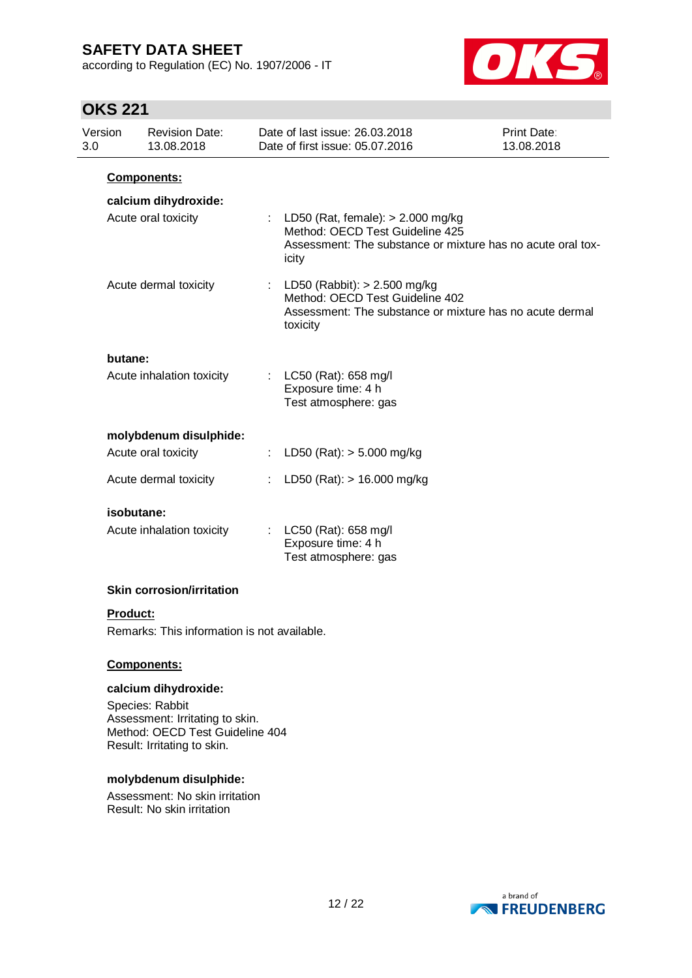according to Regulation (EC) No. 1907/2006 - IT



# **OKS 221**

| Version<br>3.0 | <b>Revision Date:</b><br>13.08.2018 |    | Date of last issue: 26.03.2018<br>Date of first issue: 05.07.2016                                                                                | Print Date:<br>13.08.2018 |
|----------------|-------------------------------------|----|--------------------------------------------------------------------------------------------------------------------------------------------------|---------------------------|
|                | <b>Components:</b>                  |    |                                                                                                                                                  |                           |
|                | calcium dihydroxide:                |    |                                                                                                                                                  |                           |
|                | Acute oral toxicity                 |    | : LD50 (Rat, female): $> 2.000$ mg/kg<br>Method: OECD Test Guideline 425<br>Assessment: The substance or mixture has no acute oral tox-<br>icity |                           |
|                | Acute dermal toxicity               |    | : LD50 (Rabbit): $> 2.500$ mg/kg<br>Method: OECD Test Guideline 402<br>Assessment: The substance or mixture has no acute dermal<br>toxicity      |                           |
| butane:        |                                     |    |                                                                                                                                                  |                           |
|                | Acute inhalation toxicity           |    | : LC50 (Rat): 658 mg/l<br>Exposure time: 4 h<br>Test atmosphere: gas                                                                             |                           |
|                | molybdenum disulphide:              |    |                                                                                                                                                  |                           |
|                | Acute oral toxicity                 | ÷. | LD50 (Rat): > 5.000 mg/kg                                                                                                                        |                           |
|                | Acute dermal toxicity               |    | LD50 (Rat): > 16.000 mg/kg                                                                                                                       |                           |
|                | isobutane:                          |    |                                                                                                                                                  |                           |
|                | Acute inhalation toxicity           | ÷. | LC50 (Rat): 658 mg/l<br>Exposure time: 4 h<br>Test atmosphere: gas                                                                               |                           |
|                | <b>Skin corrosion/irritation</b>    |    |                                                                                                                                                  |                           |

### **Product:**

Remarks: This information is not available.

### **Components:**

#### **calcium dihydroxide:**

Species: Rabbit Assessment: Irritating to skin. Method: OECD Test Guideline 404 Result: Irritating to skin.

#### **molybdenum disulphide:**

Assessment: No skin irritation Result: No skin irritation

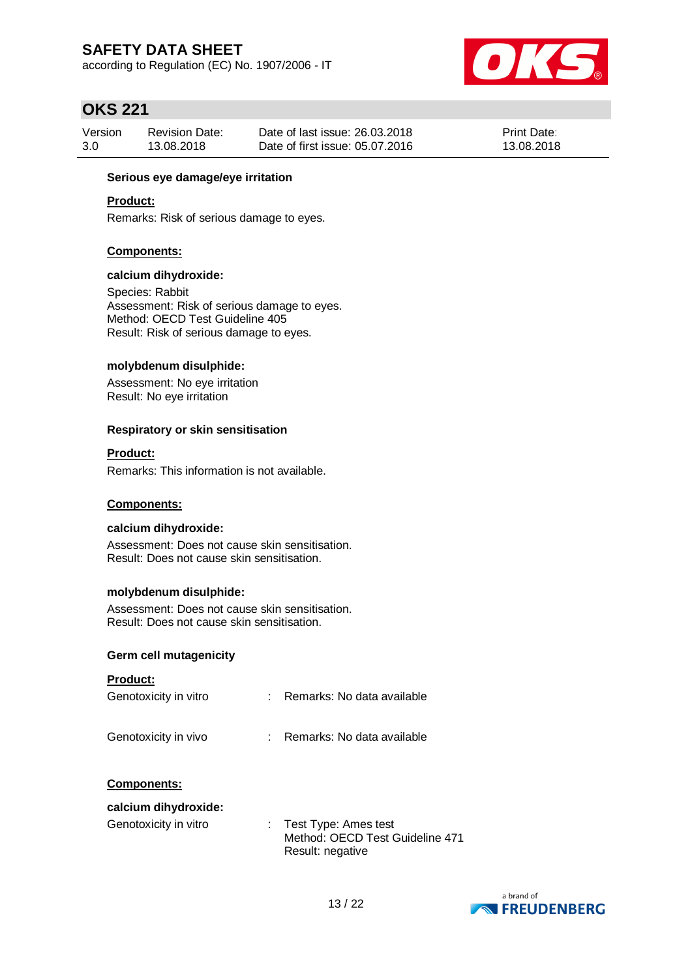according to Regulation (EC) No. 1907/2006 - IT



### **OKS 221**

| Version | <b>Revision Date:</b> | Date of last issue: 26,03,2018  | <b>Print Date:</b> |
|---------|-----------------------|---------------------------------|--------------------|
| 3.0     | 13.08.2018            | Date of first issue: 05.07.2016 | 13.08.2018         |

### **Serious eye damage/eye irritation**

### **Product:**

Remarks: Risk of serious damage to eyes.

#### **Components:**

#### **calcium dihydroxide:**

Species: Rabbit Assessment: Risk of serious damage to eyes. Method: OECD Test Guideline 405 Result: Risk of serious damage to eyes.

#### **molybdenum disulphide:**

Assessment: No eye irritation Result: No eye irritation

#### **Respiratory or skin sensitisation**

#### **Product:**

Remarks: This information is not available.

### **Components:**

#### **calcium dihydroxide:**

Assessment: Does not cause skin sensitisation. Result: Does not cause skin sensitisation.

#### **molybdenum disulphide:**

Assessment: Does not cause skin sensitisation. Result: Does not cause skin sensitisation.

#### **Germ cell mutagenicity**

### **Product:**

| Genotoxicity in vitro                      | Remarks: No data available |
|--------------------------------------------|----------------------------|
| Genotoxicity in vivo                       | Remarks: No data available |
| <b>Components:</b><br>calcium dihydroxide: |                            |

| Genotoxicity in vitro | : Test Type: Ames test          |
|-----------------------|---------------------------------|
|                       | Method: OECD Test Guideline 471 |
|                       | Result: negative                |

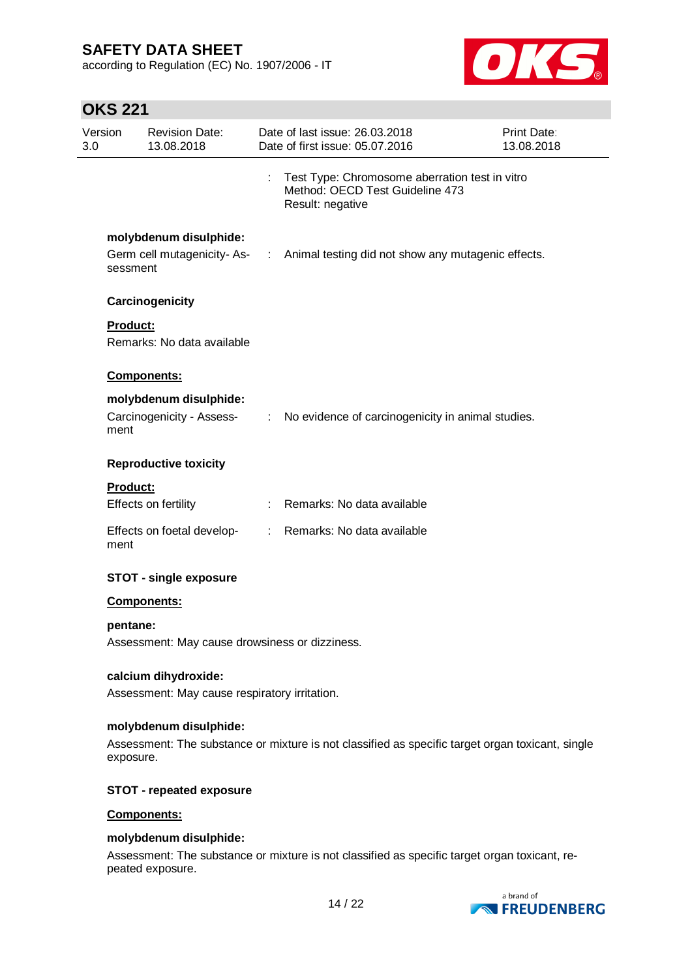according to Regulation (EC) No. 1907/2006 - IT



# **OKS 221**

| Version<br>3.0 | <b>Revision Date:</b><br>13.08.2018                 |      | Date of last issue: 26,03,2018<br>Date of first issue: 05.07.2016                                     | <b>Print Date:</b><br>13.08.2018 |
|----------------|-----------------------------------------------------|------|-------------------------------------------------------------------------------------------------------|----------------------------------|
|                |                                                     |      | Test Type: Chromosome aberration test in vitro<br>Method: OECD Test Guideline 473<br>Result: negative |                                  |
|                | molybdenum disulphide:<br>sessment                  |      | Germ cell mutagenicity-As- : Animal testing did not show any mutagenic effects.                       |                                  |
|                | Carcinogenicity                                     |      |                                                                                                       |                                  |
|                | <b>Product:</b><br>Remarks: No data available       |      |                                                                                                       |                                  |
|                | <b>Components:</b>                                  |      |                                                                                                       |                                  |
| ment           | molybdenum disulphide:<br>Carcinogenicity - Assess- |      | : No evidence of carcinogenicity in animal studies.                                                   |                                  |
|                | <b>Reproductive toxicity</b>                        |      |                                                                                                       |                                  |
|                | <b>Product:</b><br>Effects on fertility             |      | Remarks: No data available                                                                            |                                  |
| ment           | Effects on foetal develop-                          | t in | Remarks: No data available                                                                            |                                  |
|                | <b>STOT - single exposure</b>                       |      |                                                                                                       |                                  |
|                | <b>Components:</b>                                  |      |                                                                                                       |                                  |
|                | pentane:                                            |      |                                                                                                       |                                  |
|                | Assessment: May cause drowsiness or dizziness.      |      |                                                                                                       |                                  |
|                | calcium dihydroxide:                                |      |                                                                                                       |                                  |
|                | Assessment: May cause respiratory irritation.       |      |                                                                                                       |                                  |
|                | molybdenum disulphide:                              |      |                                                                                                       |                                  |

Assessment: The substance or mixture is not classified as specific target organ toxicant, single exposure.

### **STOT - repeated exposure**

### **Components:**

#### **molybdenum disulphide:**

Assessment: The substance or mixture is not classified as specific target organ toxicant, repeated exposure.

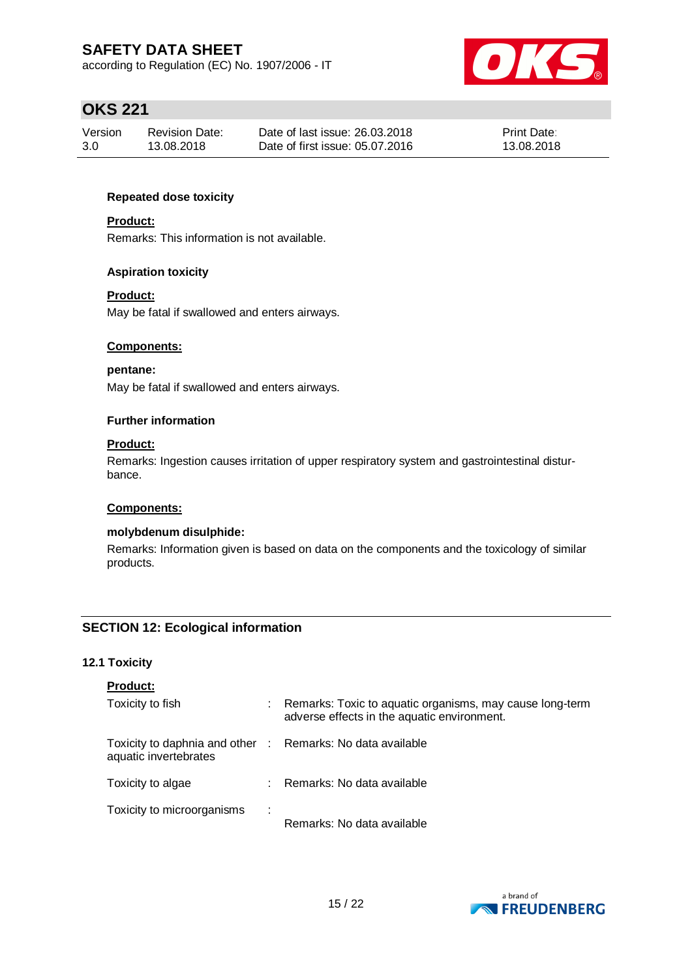according to Regulation (EC) No. 1907/2006 - IT



# **OKS 221**

| Version | <b>Revision Date:</b> | Date of last issue: 26,03,2018  | <b>Print Date:</b> |
|---------|-----------------------|---------------------------------|--------------------|
| 3.0     | 13.08.2018            | Date of first issue: 05.07.2016 | 13.08.2018         |

### **Repeated dose toxicity**

### **Product:**

Remarks: This information is not available.

### **Aspiration toxicity**

### **Product:**

May be fatal if swallowed and enters airways.

### **Components:**

#### **pentane:**

May be fatal if swallowed and enters airways.

#### **Further information**

### **Product:**

Remarks: Ingestion causes irritation of upper respiratory system and gastrointestinal disturbance.

### **Components:**

### **molybdenum disulphide:**

Remarks: Information given is based on data on the components and the toxicology of similar products.

### **SECTION 12: Ecological information**

### **12.1 Toxicity**

| <b>Product:</b>                                                                     |   |                                                                                                         |
|-------------------------------------------------------------------------------------|---|---------------------------------------------------------------------------------------------------------|
| Toxicity to fish                                                                    |   | Remarks: Toxic to aquatic organisms, may cause long-term<br>adverse effects in the aquatic environment. |
| Toxicity to daphnia and other : Remarks: No data available<br>aquatic invertebrates |   |                                                                                                         |
| Toxicity to algae                                                                   |   | : Remarks: No data available                                                                            |
| Toxicity to microorganisms                                                          | ÷ | Remarks: No data available                                                                              |

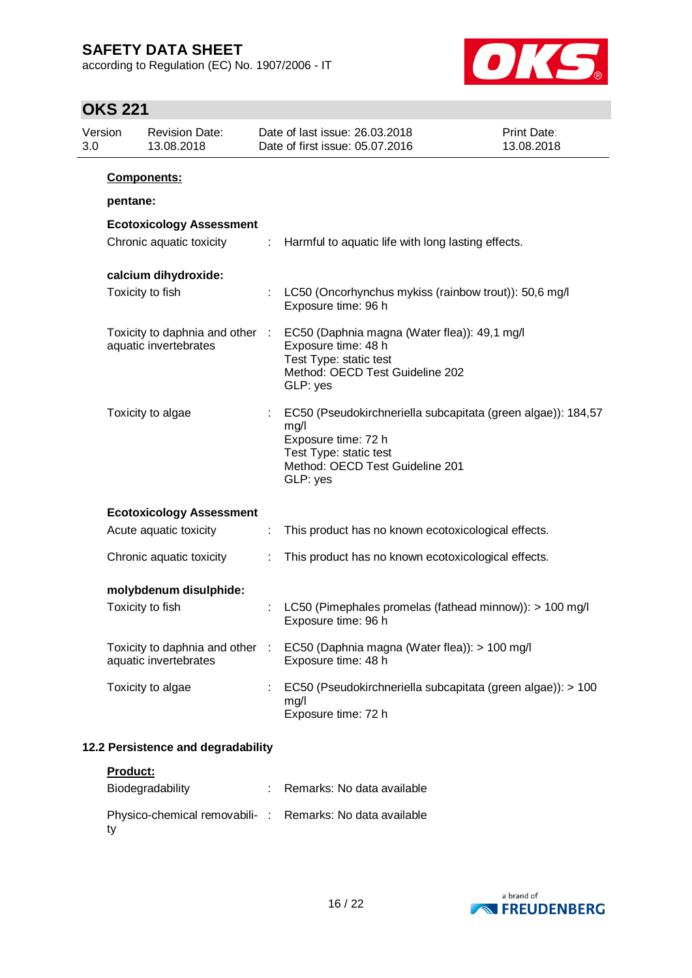according to Regulation (EC) No. 1907/2006 - IT



# **OKS 221**

ty

| 3.0 | Version  | <b>Revision Date:</b><br>13.08.2018                      |   | Date of last issue: 26.03.2018<br>Date of first issue: 05.07.2016                                                                                                    | <b>Print Date:</b><br>13.08.2018 |
|-----|----------|----------------------------------------------------------|---|----------------------------------------------------------------------------------------------------------------------------------------------------------------------|----------------------------------|
|     | pentane: | Components:                                              |   |                                                                                                                                                                      |                                  |
|     |          | <b>Ecotoxicology Assessment</b>                          |   |                                                                                                                                                                      |                                  |
|     |          | Chronic aquatic toxicity                                 | ÷ | Harmful to aquatic life with long lasting effects.                                                                                                                   |                                  |
|     |          | calcium dihydroxide:                                     |   |                                                                                                                                                                      |                                  |
|     |          | Toxicity to fish                                         |   | LC50 (Oncorhynchus mykiss (rainbow trout)): 50,6 mg/l<br>Exposure time: 96 h                                                                                         |                                  |
|     |          | Toxicity to daphnia and other :<br>aquatic invertebrates |   | EC50 (Daphnia magna (Water flea)): 49,1 mg/l<br>Exposure time: 48 h<br>Test Type: static test<br>Method: OECD Test Guideline 202<br>GLP: yes                         |                                  |
|     |          | Toxicity to algae                                        |   | EC50 (Pseudokirchneriella subcapitata (green algae)): 184,57<br>mg/l<br>Exposure time: 72 h<br>Test Type: static test<br>Method: OECD Test Guideline 201<br>GLP: yes |                                  |
|     |          | <b>Ecotoxicology Assessment</b>                          |   |                                                                                                                                                                      |                                  |
|     |          | Acute aquatic toxicity                                   |   | This product has no known ecotoxicological effects.                                                                                                                  |                                  |
|     |          | Chronic aquatic toxicity                                 |   | This product has no known ecotoxicological effects.                                                                                                                  |                                  |
|     |          | molybdenum disulphide:                                   |   |                                                                                                                                                                      |                                  |
|     |          | Toxicity to fish                                         |   | LC50 (Pimephales promelas (fathead minnow)): > 100 mg/l<br>Exposure time: 96 h                                                                                       |                                  |
|     |          | Toxicity to daphnia and other<br>aquatic invertebrates   |   | EC50 (Daphnia magna (Water flea)): > 100 mg/l<br>Exposure time: 48 h                                                                                                 |                                  |
|     |          | Toxicity to algae                                        |   | EC50 (Pseudokirchneriella subcapitata (green algae)): > 100<br>mg/l<br>Exposure time: 72 h                                                                           |                                  |
|     |          | 12.2 Persistence and degradability                       |   |                                                                                                                                                                      |                                  |
|     | Product: |                                                          |   |                                                                                                                                                                      |                                  |
|     |          | Biodegradability                                         |   | Remarks: No data available                                                                                                                                           |                                  |



Physico-chemical removabili- : Remarks: No data available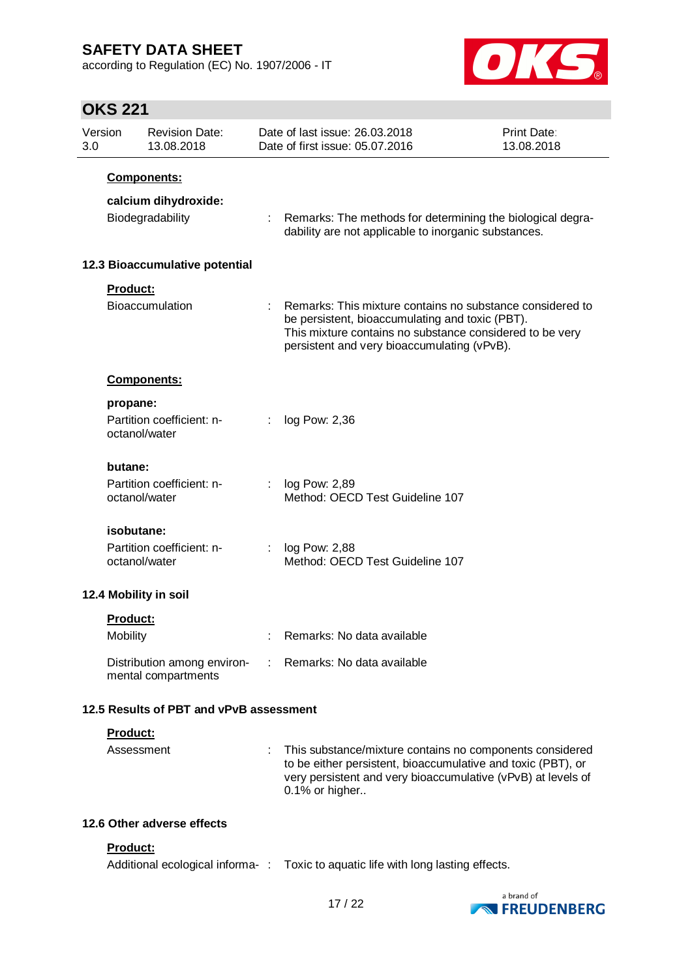according to Regulation (EC) No. 1907/2006 - IT



# **OKS 221**

| Version<br>3.0 |                            | <b>Revision Date:</b><br>13.08.2018                |    | Date of last issue: 26.03.2018<br>Date of first issue: 05.07.2016                                                                                                                                                       | <b>Print Date:</b><br>13.08.2018 |
|----------------|----------------------------|----------------------------------------------------|----|-------------------------------------------------------------------------------------------------------------------------------------------------------------------------------------------------------------------------|----------------------------------|
|                |                            | <b>Components:</b>                                 |    |                                                                                                                                                                                                                         |                                  |
|                |                            | calcium dihydroxide:                               |    |                                                                                                                                                                                                                         |                                  |
|                |                            | Biodegradability                                   |    | : Remarks: The methods for determining the biological degra-<br>dability are not applicable to inorganic substances.                                                                                                    |                                  |
|                |                            | 12.3 Bioaccumulative potential                     |    |                                                                                                                                                                                                                         |                                  |
|                | Product:                   |                                                    |    |                                                                                                                                                                                                                         |                                  |
|                |                            | Bioaccumulation                                    |    | Remarks: This mixture contains no substance considered to<br>be persistent, bioaccumulating and toxic (PBT).<br>This mixture contains no substance considered to be very<br>persistent and very bioaccumulating (vPvB). |                                  |
|                |                            | <b>Components:</b>                                 |    |                                                                                                                                                                                                                         |                                  |
|                | propane:                   |                                                    |    |                                                                                                                                                                                                                         |                                  |
|                | octanol/water              | Partition coefficient: n-                          | ÷. | log Pow: 2,36                                                                                                                                                                                                           |                                  |
|                | butane:                    |                                                    |    |                                                                                                                                                                                                                         |                                  |
|                | octanol/water              | Partition coefficient: n-                          | t. | log Pow: 2,89<br>Method: OECD Test Guideline 107                                                                                                                                                                        |                                  |
|                | isobutane:                 |                                                    |    |                                                                                                                                                                                                                         |                                  |
|                | octanol/water              | Partition coefficient: n-                          |    | log Pow: 2,88<br>Method: OECD Test Guideline 107                                                                                                                                                                        |                                  |
|                |                            | 12.4 Mobility in soil                              |    |                                                                                                                                                                                                                         |                                  |
|                | <b>Product:</b>            |                                                    |    |                                                                                                                                                                                                                         |                                  |
|                | <b>Mobility</b>            |                                                    |    | Remarks: No data available                                                                                                                                                                                              |                                  |
|                |                            | Distribution among environ-<br>mental compartments |    | : Remarks: No data available                                                                                                                                                                                            |                                  |
|                |                            | 12.5 Results of PBT and vPvB assessment            |    |                                                                                                                                                                                                                         |                                  |
|                | Product:                   |                                                    |    |                                                                                                                                                                                                                         |                                  |
|                | Assessment                 |                                                    |    | This substance/mixture contains no components considered<br>to be either persistent, bioaccumulative and toxic (PBT), or<br>very persistent and very bioaccumulative (vPvB) at levels of<br>0.1% or higher              |                                  |
|                | 12.6 Other adverse effects |                                                    |    |                                                                                                                                                                                                                         |                                  |
|                | Product:                   |                                                    |    |                                                                                                                                                                                                                         |                                  |

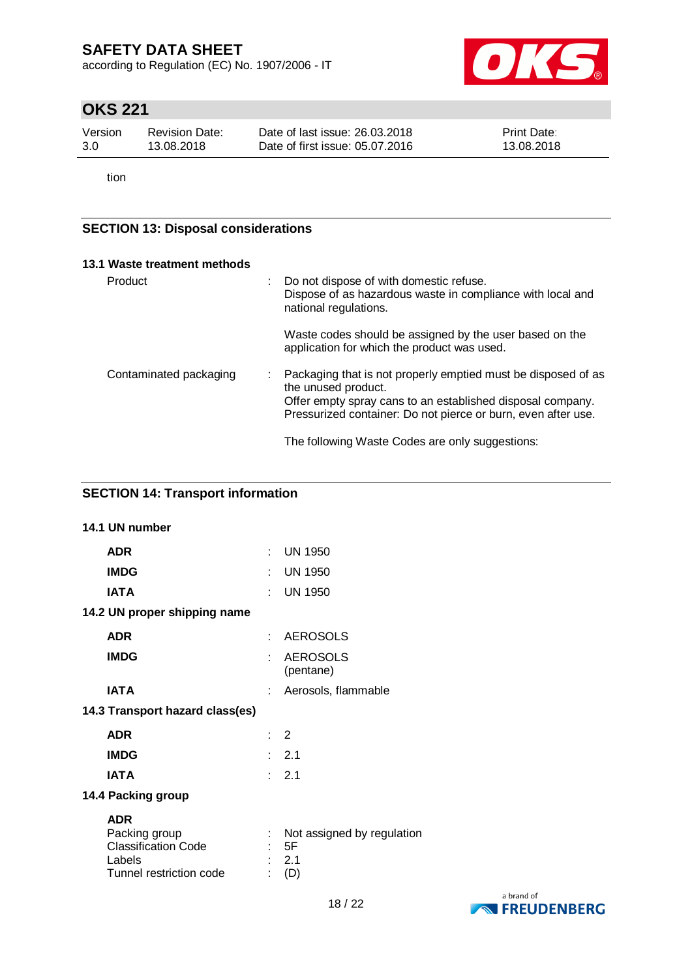according to Regulation (EC) No. 1907/2006 - IT



# **OKS 221**

| Version | Revision Date: | Date of last issue: 26.03.2018  | <b>Print Date:</b> |
|---------|----------------|---------------------------------|--------------------|
| 3.0     | 13.08.2018     | Date of first issue: 05.07.2016 | 13.08.2018         |

tion

### **SECTION 13: Disposal considerations**

| 13.1 Waste treatment methods |                                                                                                                                                                                                                     |
|------------------------------|---------------------------------------------------------------------------------------------------------------------------------------------------------------------------------------------------------------------|
| Product                      | Do not dispose of with domestic refuse.<br>Dispose of as hazardous waste in compliance with local and<br>national regulations.                                                                                      |
|                              | Waste codes should be assigned by the user based on the<br>application for which the product was used.                                                                                                              |
| Contaminated packaging       | Packaging that is not properly emptied must be disposed of as<br>the unused product.<br>Offer empty spray cans to an established disposal company.<br>Pressurized container: Do not pierce or burn, even after use. |
|                              | The following Waste Codes are only suggestions:                                                                                                                                                                     |

### **SECTION 14: Transport information**

| 14.1 UN number                                                                                 |     |                                                |
|------------------------------------------------------------------------------------------------|-----|------------------------------------------------|
| <b>ADR</b>                                                                                     |     | $:$ UN 1950                                    |
| <b>IMDG</b>                                                                                    |     | <b>UN 1950</b>                                 |
| <b>IATA</b>                                                                                    | × 1 | <b>UN 1950</b>                                 |
| 14.2 UN proper shipping name                                                                   |     |                                                |
| <b>ADR</b>                                                                                     | t.  | <b>AEROSOLS</b>                                |
| <b>IMDG</b>                                                                                    | ×,  | <b>AEROSOLS</b><br>(pentane)                   |
| <b>IATA</b>                                                                                    |     | : Aerosols, flammable                          |
| 14.3 Transport hazard class(es)                                                                |     |                                                |
| <b>ADR</b>                                                                                     |     | $\therefore$ 2                                 |
| <b>IMDG</b>                                                                                    |     | $\therefore$ 2.1                               |
| <b>IATA</b>                                                                                    |     | $\therefore$ 2.1                               |
| 14.4 Packing group                                                                             |     |                                                |
| <b>ADR</b><br>Packing group<br><b>Classification Code</b><br>Labels<br>Tunnel restriction code |     | Not assigned by regulation<br>5F<br>2.1<br>(D) |

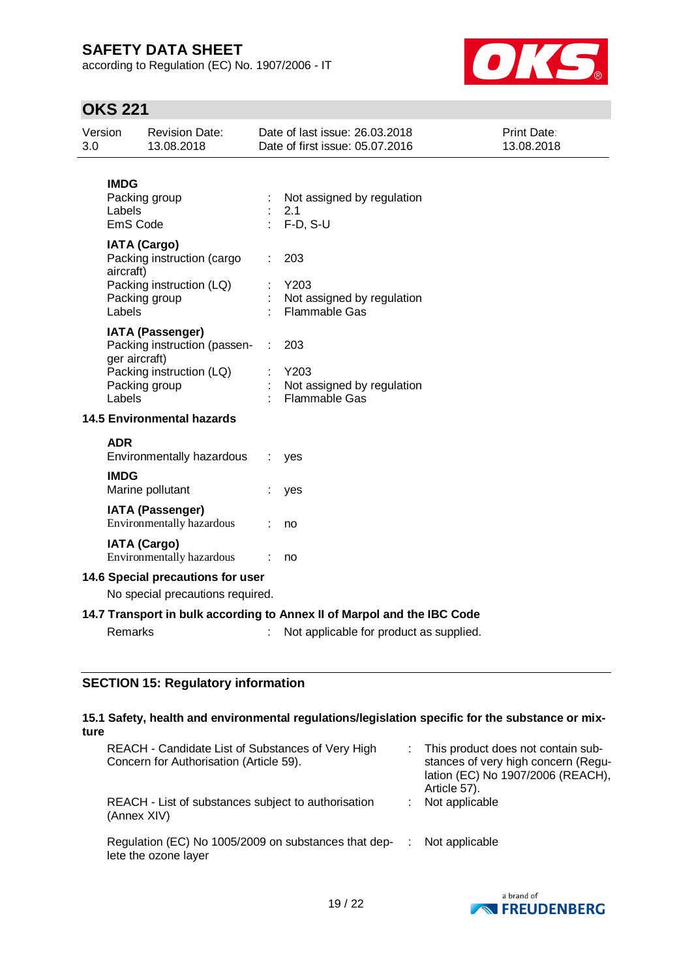according to Regulation (EC) No. 1907/2006 - IT



# **OKS 221**

| Version<br>3.0                                                        |                                                                                                                       | <b>Revision Date:</b><br>13.08.2018                                                                      |                                                                                                                    | Date of last issue: 26.03.2018<br>Date of first issue: 05.07.2016 | Print Date:<br>13.08.2018 |
|-----------------------------------------------------------------------|-----------------------------------------------------------------------------------------------------------------------|----------------------------------------------------------------------------------------------------------|--------------------------------------------------------------------------------------------------------------------|-------------------------------------------------------------------|---------------------------|
|                                                                       | <b>IMDG</b><br>Labels<br>EmS Code                                                                                     | Packing group                                                                                            |                                                                                                                    | Not assigned by regulation<br>2.1<br>$F-D, S-U$                   |                           |
|                                                                       | <b>IATA (Cargo)</b><br>Packing instruction (cargo<br>aircraft)<br>Packing instruction (LQ)<br>Packing group<br>Labels |                                                                                                          |                                                                                                                    | 203<br>Y203<br>Not assigned by regulation<br><b>Flammable Gas</b> |                           |
|                                                                       | ger aircraft)<br>Labels                                                                                               | <b>IATA (Passenger)</b><br>Packing instruction (passen-<br>Packing instruction (LQ)<br>Packing group     |                                                                                                                    | 203<br>Y203<br>Not assigned by regulation<br><b>Flammable Gas</b> |                           |
|                                                                       | <b>ADR</b><br><b>IMDG</b>                                                                                             | <b>14.5 Environmental hazards</b><br>Environmentally hazardous<br>Marine pollutant                       | ÷                                                                                                                  | yes<br>yes                                                        |                           |
|                                                                       |                                                                                                                       | <b>IATA (Passenger)</b><br>Environmentally hazardous<br><b>IATA (Cargo)</b><br>Environmentally hazardous |                                                                                                                    | no<br>no                                                          |                           |
| 14.6 Special precautions for user<br>No special precautions required. |                                                                                                                       |                                                                                                          |                                                                                                                    |                                                                   |                           |
| Remarks                                                               |                                                                                                                       |                                                                                                          | 14.7 Transport in bulk according to Annex II of Marpol and the IBC Code<br>Not applicable for product as supplied. |                                                                   |                           |

### **SECTION 15: Regulatory information**

### **15.1 Safety, health and environmental regulations/legislation specific for the substance or mixture**

| REACH - Candidate List of Substances of Very High<br>Concern for Authorisation (Article 59). | : This product does not contain sub-<br>stances of very high concern (Regu-<br>lation (EC) No 1907/2006 (REACH),<br>Article 57). |
|----------------------------------------------------------------------------------------------|----------------------------------------------------------------------------------------------------------------------------------|
| REACH - List of substances subject to authorisation<br>(Annex XIV)                           | Not applicable                                                                                                                   |
| Regulation (EC) No 1005/2009 on substances that dep-<br>lete the ozone layer                 | Not applicable                                                                                                                   |

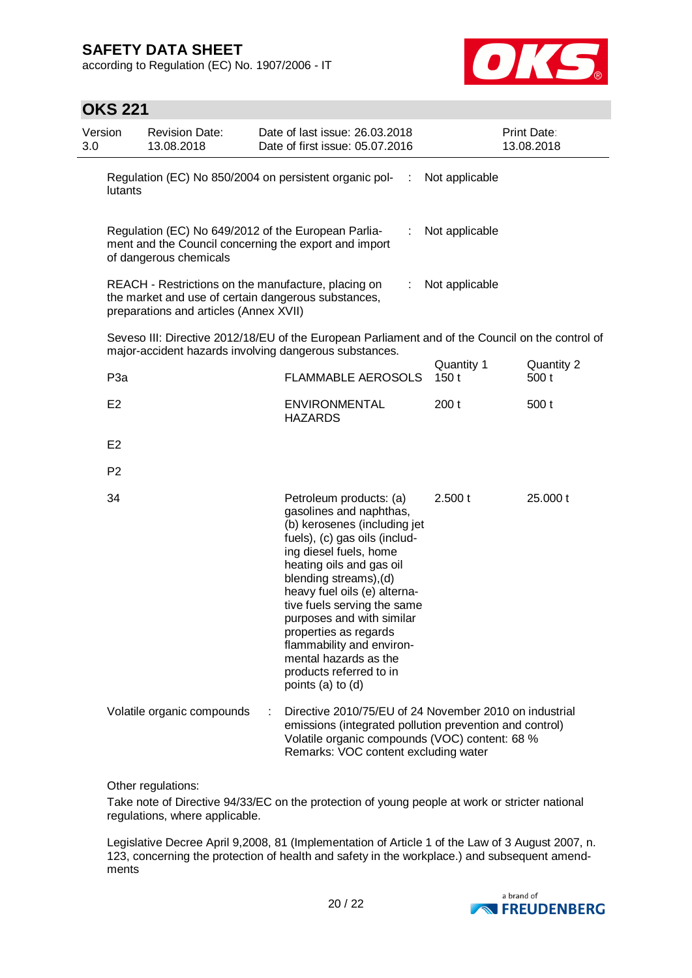according to Regulation (EC) No. 1907/2006 - IT



### **OKS 221**

| Version<br>3.0 |                 | <b>Revision Date:</b><br>13.08.2018                                                                                                                  | Date of last issue: 26.03.2018<br>Date of first issue: 05.07.2016                                                                                                                                                                                                                                                                                                                                                              |                    | Print Date:<br>13.08.2018 |
|----------------|-----------------|------------------------------------------------------------------------------------------------------------------------------------------------------|--------------------------------------------------------------------------------------------------------------------------------------------------------------------------------------------------------------------------------------------------------------------------------------------------------------------------------------------------------------------------------------------------------------------------------|--------------------|---------------------------|
|                | lutants         |                                                                                                                                                      | Regulation (EC) No 850/2004 on persistent organic pol-<br>÷                                                                                                                                                                                                                                                                                                                                                                    | Not applicable     |                           |
|                |                 | Regulation (EC) No 649/2012 of the European Parlia-<br>of dangerous chemicals                                                                        | ÷<br>ment and the Council concerning the export and import                                                                                                                                                                                                                                                                                                                                                                     | Not applicable     |                           |
|                |                 | REACH - Restrictions on the manufacture, placing on<br>the market and use of certain dangerous substances,<br>preparations and articles (Annex XVII) | $\mathbb{Z}^n$                                                                                                                                                                                                                                                                                                                                                                                                                 | Not applicable     |                           |
|                |                 |                                                                                                                                                      | Seveso III: Directive 2012/18/EU of the European Parliament and of the Council on the control of<br>major-accident hazards involving dangerous substances.                                                                                                                                                                                                                                                                     |                    |                           |
|                | P <sub>3a</sub> |                                                                                                                                                      | <b>FLAMMABLE AEROSOLS</b>                                                                                                                                                                                                                                                                                                                                                                                                      | Quantity 1<br>150t | Quantity 2<br>500 t       |
|                | E <sub>2</sub>  |                                                                                                                                                      | <b>ENVIRONMENTAL</b><br><b>HAZARDS</b>                                                                                                                                                                                                                                                                                                                                                                                         | 200t               | 500 t                     |
|                | E <sub>2</sub>  |                                                                                                                                                      |                                                                                                                                                                                                                                                                                                                                                                                                                                |                    |                           |
|                | P <sub>2</sub>  |                                                                                                                                                      |                                                                                                                                                                                                                                                                                                                                                                                                                                |                    |                           |
|                | 34              |                                                                                                                                                      | Petroleum products: (a)<br>gasolines and naphthas,<br>(b) kerosenes (including jet<br>fuels), (c) gas oils (includ-<br>ing diesel fuels, home<br>heating oils and gas oil<br>blending streams), (d)<br>heavy fuel oils (e) alterna-<br>tive fuels serving the same<br>purposes and with similar<br>properties as regards<br>flammability and environ-<br>mental hazards as the<br>products referred to in<br>points (a) to (d) | 2.500 t            | 25.000 t                  |
|                |                 | Volatile organic compounds                                                                                                                           | Directive 2010/75/EU of 24 November 2010 on industrial<br>emissions (integrated pollution prevention and control)<br>Volatile organic compounds (VOC) content: 68 %<br>Remarks: VOC content excluding water                                                                                                                                                                                                                    |                    |                           |

Other regulations:

Take note of Directive 94/33/EC on the protection of young people at work or stricter national regulations, where applicable.

Legislative Decree April 9,2008, 81 (Implementation of Article 1 of the Law of 3 August 2007, n. 123, concerning the protection of health and safety in the workplace.) and subsequent amendments

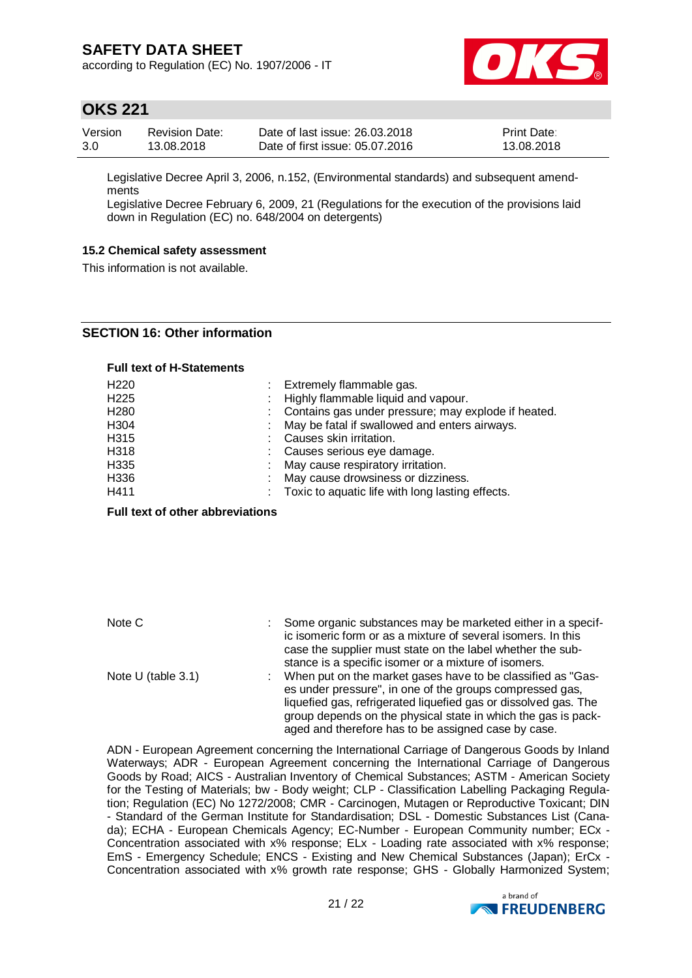according to Regulation (EC) No. 1907/2006 - IT



### **OKS 221**

| Version | <b>Revision Date:</b> | Date of last issue: 26.03.2018  | <b>Print Date:</b> |
|---------|-----------------------|---------------------------------|--------------------|
| 3.0     | 13.08.2018            | Date of first issue: 05.07.2016 | 13.08.2018         |

Legislative Decree April 3, 2006, n.152, (Environmental standards) and subsequent amendments

Legislative Decree February 6, 2009, 21 (Regulations for the execution of the provisions laid down in Regulation (EC) no. 648/2004 on detergents)

#### **15.2 Chemical safety assessment**

This information is not available.

### **SECTION 16: Other information**

#### **Full text of H-Statements**

| H <sub>220</sub> | : Extremely flammable gas.                            |
|------------------|-------------------------------------------------------|
| H <sub>225</sub> | Highly flammable liquid and vapour.                   |
| H <sub>280</sub> | : Contains gas under pressure; may explode if heated. |
| H <sub>304</sub> | May be fatal if swallowed and enters airways.         |
| H315             | Causes skin irritation.                               |
| H318             | : Causes serious eye damage.                          |
| H335             | May cause respiratory irritation.                     |
| H336             | May cause drowsiness or dizziness.                    |
| H411             | Toxic to aquatic life with long lasting effects.      |

**Full text of other abbreviations**

| Note C                | Some organic substances may be marketed either in a specif-<br>ic isomeric form or as a mixture of several isomers. In this<br>case the supplier must state on the label whether the sub- |
|-----------------------|-------------------------------------------------------------------------------------------------------------------------------------------------------------------------------------------|
|                       | stance is a specific isomer or a mixture of isomers.                                                                                                                                      |
| Note U (table $3.1$ ) | When put on the market gases have to be classified as "Gas-<br>es under pressure", in one of the groups compressed gas,                                                                   |
|                       | liquefied gas, refrigerated liquefied gas or dissolved gas. The                                                                                                                           |
|                       | group depends on the physical state in which the gas is pack-                                                                                                                             |
|                       | aged and therefore has to be assigned case by case.                                                                                                                                       |

ADN - European Agreement concerning the International Carriage of Dangerous Goods by Inland Waterways; ADR - European Agreement concerning the International Carriage of Dangerous Goods by Road; AICS - Australian Inventory of Chemical Substances; ASTM - American Society for the Testing of Materials; bw - Body weight; CLP - Classification Labelling Packaging Regulation; Regulation (EC) No 1272/2008; CMR - Carcinogen, Mutagen or Reproductive Toxicant; DIN - Standard of the German Institute for Standardisation; DSL - Domestic Substances List (Canada); ECHA - European Chemicals Agency; EC-Number - European Community number; ECx - Concentration associated with x% response; ELx - Loading rate associated with x% response; EmS - Emergency Schedule; ENCS - Existing and New Chemical Substances (Japan); ErCx - Concentration associated with x% growth rate response; GHS - Globally Harmonized System;